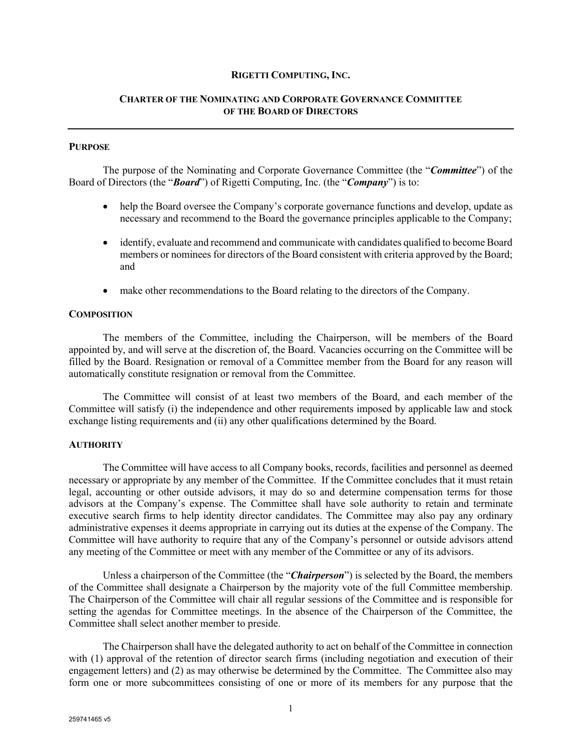#### **RIGETTI COMPUTING, INC.**

## **CHARTER OF THE NOMINATING AND CORPORATE GOVERNANCE COMMITTEE OF THE BOARD OF DIRECTORS**

### **PURPOSE**

The purpose of the Nominating and Corporate Governance Committee (the "*Committee*") of the Board of Directors (the "*Board*") of Rigetti Computing, Inc. (the "*Company*") is to:

- help the Board oversee the Company's corporate governance functions and develop, update as necessary and recommend to the Board the governance principles applicable to the Company;
- identify, evaluate and recommend and communicate with candidates qualified to become Board members or nominees for directors of the Board consistent with criteria approved by the Board; and
- make other recommendations to the Board relating to the directors of the Company.

#### **COMPOSITION**

The members of the Committee, including the Chairperson, will be members of the Board appointed by, and will serve at the discretion of, the Board. Vacancies occurring on the Committee will be filled by the Board. Resignation or removal of a Committee member from the Board for any reason will automatically constitute resignation or removal from the Committee.

The Committee will consist of at least two members of the Board, and each member of the Committee will satisfy (i) the independence and other requirements imposed by applicable law and stock exchange listing requirements and (ii) any other qualifications determined by the Board.

#### **AUTHORITY**

The Committee will have access to all Company books, records, facilities and personnel as deemed necessary or appropriate by any member of the Committee. If the Committee concludes that it must retain legal, accounting or other outside advisors, it may do so and determine compensation terms for those advisors at the Company's expense. The Committee shall have sole authority to retain and terminate executive search firms to help identity director candidates. The Committee may also pay any ordinary administrative expenses it deems appropriate in carrying out its duties at the expense of the Company. The Committee will have authority to require that any of the Company's personnel or outside advisors attend any meeting of the Committee or meet with any member of the Committee or any of its advisors.

Unless a chairperson of the Committee (the "*Chairperson*") is selected by the Board, the members of the Committee shall designate a Chairperson by the majority vote of the full Committee membership. The Chairperson of the Committee will chair all regular sessions of the Committee and is responsible for setting the agendas for Committee meetings. In the absence of the Chairperson of the Committee, the Committee shall select another member to preside.

The Chairperson shall have the delegated authority to act on behalf of the Committee in connection with (1) approval of the retention of director search firms (including negotiation and execution of their engagement letters) and (2) as may otherwise be determined by the Committee. The Committee also may form one or more subcommittees consisting of one or more of its members for any purpose that the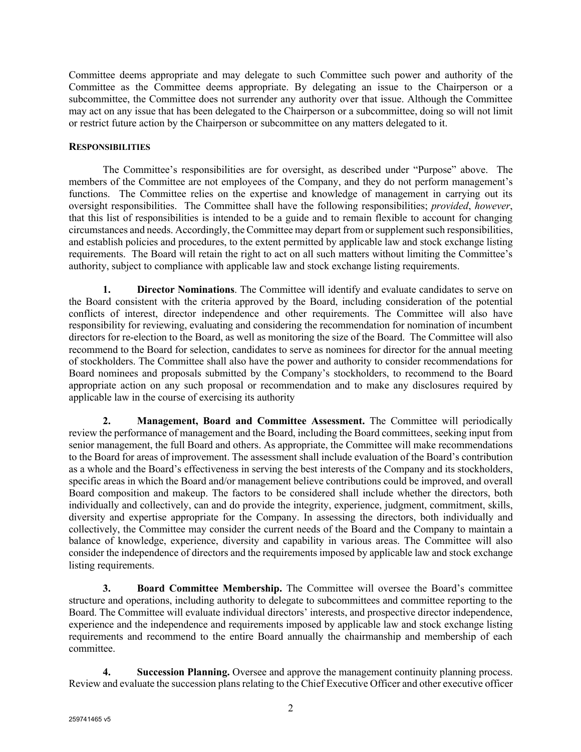Committee deems appropriate and may delegate to such Committee such power and authority of the Committee as the Committee deems appropriate. By delegating an issue to the Chairperson or a subcommittee, the Committee does not surrender any authority over that issue. Although the Committee may act on any issue that has been delegated to the Chairperson or a subcommittee, doing so will not limit or restrict future action by the Chairperson or subcommittee on any matters delegated to it.

## **RESPONSIBILITIES**

The Committee's responsibilities are for oversight, as described under "Purpose" above. The members of the Committee are not employees of the Company, and they do not perform management's functions. The Committee relies on the expertise and knowledge of management in carrying out its oversight responsibilities. The Committee shall have the following responsibilities; *provided*, *however*, that this list of responsibilities is intended to be a guide and to remain flexible to account for changing circumstances and needs. Accordingly, the Committee may depart from or supplement such responsibilities, and establish policies and procedures, to the extent permitted by applicable law and stock exchange listing requirements. The Board will retain the right to act on all such matters without limiting the Committee's authority, subject to compliance with applicable law and stock exchange listing requirements.

**1. Director Nominations**. The Committee will identify and evaluate candidates to serve on the Board consistent with the criteria approved by the Board, including consideration of the potential conflicts of interest, director independence and other requirements. The Committee will also have responsibility for reviewing, evaluating and considering the recommendation for nomination of incumbent directors for re-election to the Board, as well as monitoring the size of the Board. The Committee will also recommend to the Board for selection, candidates to serve as nominees for director for the annual meeting of stockholders. The Committee shall also have the power and authority to consider recommendations for Board nominees and proposals submitted by the Company's stockholders, to recommend to the Board appropriate action on any such proposal or recommendation and to make any disclosures required by applicable law in the course of exercising its authority

**2. Management, Board and Committee Assessment.** The Committee will periodically review the performance of management and the Board, including the Board committees, seeking input from senior management, the full Board and others. As appropriate, the Committee will make recommendations to the Board for areas of improvement. The assessment shall include evaluation of the Board's contribution as a whole and the Board's effectiveness in serving the best interests of the Company and its stockholders, specific areas in which the Board and/or management believe contributions could be improved, and overall Board composition and makeup. The factors to be considered shall include whether the directors, both individually and collectively, can and do provide the integrity, experience, judgment, commitment, skills, diversity and expertise appropriate for the Company. In assessing the directors, both individually and collectively, the Committee may consider the current needs of the Board and the Company to maintain a balance of knowledge, experience, diversity and capability in various areas. The Committee will also consider the independence of directors and the requirements imposed by applicable law and stock exchange listing requirements.

**3. Board Committee Membership.** The Committee will oversee the Board's committee structure and operations, including authority to delegate to subcommittees and committee reporting to the Board. The Committee will evaluate individual directors' interests, and prospective director independence, experience and the independence and requirements imposed by applicable law and stock exchange listing requirements and recommend to the entire Board annually the chairmanship and membership of each committee.

**4. Succession Planning.** Oversee and approve the management continuity planning process. Review and evaluate the succession plans relating to the Chief Executive Officer and other executive officer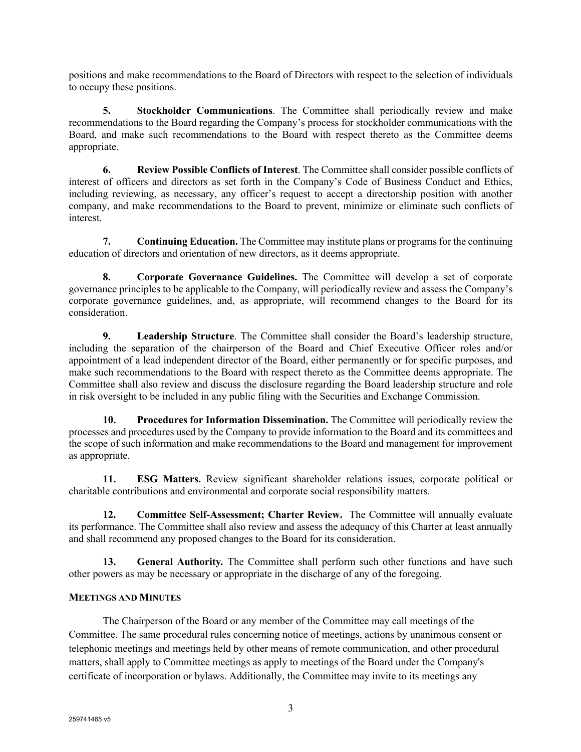positions and make recommendations to the Board of Directors with respect to the selection of individuals to occupy these positions.

**5. Stockholder Communications**. The Committee shall periodically review and make recommendations to the Board regarding the Company's process for stockholder communications with the Board, and make such recommendations to the Board with respect thereto as the Committee deems appropriate.

**6. Review Possible Conflicts of Interest**. The Committee shall consider possible conflicts of interest of officers and directors as set forth in the Company's Code of Business Conduct and Ethics, including reviewing, as necessary, any officer's request to accept a directorship position with another company, and make recommendations to the Board to prevent, minimize or eliminate such conflicts of interest.

**7. Continuing Education.** The Committee may institute plans or programs for the continuing education of directors and orientation of new directors, as it deems appropriate.

**8. Corporate Governance Guidelines.** The Committee will develop a set of corporate governance principles to be applicable to the Company, will periodically review and assess the Company's corporate governance guidelines, and, as appropriate, will recommend changes to the Board for its consideration.

**9. Leadership Structure**. The Committee shall consider the Board's leadership structure, including the separation of the chairperson of the Board and Chief Executive Officer roles and/or appointment of a lead independent director of the Board, either permanently or for specific purposes, and make such recommendations to the Board with respect thereto as the Committee deems appropriate. The Committee shall also review and discuss the disclosure regarding the Board leadership structure and role in risk oversight to be included in any public filing with the Securities and Exchange Commission.

**10. Procedures for Information Dissemination.** The Committee will periodically review the processes and procedures used by the Company to provide information to the Board and its committees and the scope of such information and make recommendations to the Board and management for improvement as appropriate.

**11. ESG Matters.** Review significant shareholder relations issues, corporate political or charitable contributions and environmental and corporate social responsibility matters.

**12. Committee Self-Assessment; Charter Review.** The Committee will annually evaluate its performance. The Committee shall also review and assess the adequacy of this Charter at least annually and shall recommend any proposed changes to the Board for its consideration.

**13. General Authority***.* The Committee shall perform such other functions and have such other powers as may be necessary or appropriate in the discharge of any of the foregoing.

# **MEETINGS AND MINUTES**

The Chairperson of the Board or any member of the Committee may call meetings of the Committee. The same procedural rules concerning notice of meetings, actions by unanimous consent or telephonic meetings and meetings held by other means of remote communication, and other procedural matters, shall apply to Committee meetings as apply to meetings of the Board under the Company's certificate of incorporation or bylaws. Additionally, the Committee may invite to its meetings any